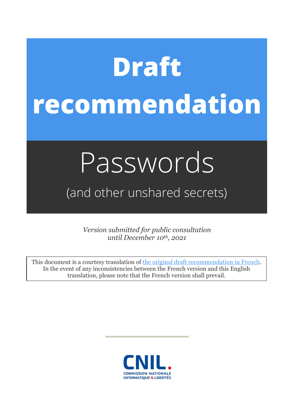# **Draft recommendation**

## Passwords

### (and other unshared secrets)

*Version submitted for public consultation until December 10th, 2021*

This document is a courtesy translation of [the original draft recommendation in French.](https://www.cnil.fr/sites/default/files/atoms/files/projet-recommandation-mot-de-passe_2021.pdf) In the event of any inconsistencies between the French version and this English translation, please note that the French version shall prevail.

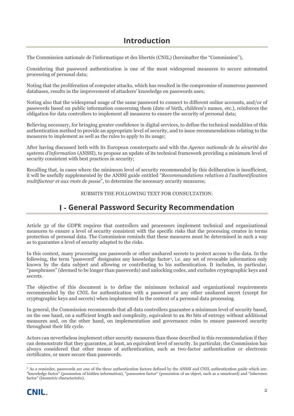#### **Introduction**

The Commission nationale de l'informatique et des libertés (CNIL) (hereinafter the "Commission"),

Considering that password authentication is one of the most widespread measures to secure automated processing of personal data;

Noting that the proliferation of computer attacks, which has resulted in the compromise of numerous password databases, results in the improvement of attackers' knowledge on passwords uses;

Noting also that the widespread usage of the same password to connect to different online accounts, and/or of passwords based on public information concerning them (date of birth, children's names, etc.), reinforces the obligation for data controllers to implement all measures to ensure the security of personal data;

Believing necessary, for bringing greater confidence in digital services, to define the technical modalities of this authentication method to provide an appropriate level of security, and to issue recommendations relating to the measures to implement as well as the rules to apply to its usage;

After having discussed both with its European counterparts and with the *Agence nationale de la sécurité des systems d'information* (ANSSI), to propose an update of its technical framework providing a minimum level of security consistent with best practices in security;

Recalling that, in cases where the minimum level of security recommended by this deliberation is insufficient, it will be usefully supplemented by the ANSSI guide entitled "*Recommandations relatives à l'authentification multifacteur et aux mots de passe*", to determine the necessary security measures;

SUBMITS THE FOLLOWING TEXT FOR CONSULTATION:

#### **General Password Security Recommendation**

Article 32 of the GDPR requires that controllers and processors implement technical and organizational measures to ensure a level of security consistent with the specific risks that the processing creates in terms protection of personal data. The Commission reminds that these measures must be determined in such a way as to guarantee a level of security adapted to the risks.

In this context, many processing use passwords or other unshared secrets to protect access to the data. In the following, the term "password" designates any knowledge factor<sup>[1](#page-1-0)</sup>, i.e. any set of revocable information only known by the data subject and allowing or contributing to his authentication. It includes, in particular, "passphrases" (deemed to be longer than passwords) and unlocking codes, and excludes cryptographic keys and secrets.

The objective of this document is to define the minimum technical and organizational requirements recommended by the CNIL for authentication with a password or any other unshared secret (except for cryptographic keys and secrets) when implemented in the context of a personal data processing.

In general, the Commission recommends that all data controllers guarantee a minimum level of security based, on the one hand, on a sufficient length and complexity, equivalent to an 80 bits of entropy without additional measures and, on the other hand, on implementation and governance rules to ensure password security throughout their life cycle.

Actors can nevertheless implement other security measures than those described in this recommendation if they can demonstrate that they guarantee, at least, an equivalent level of security. In particular, the Commission has always considered that other means of authentication, such as two-factor authentication or electronic certificates, or more secure than passwords.

<span id="page-1-0"></span> <sup>1</sup> As a reminder, passwords are one of the three authentication factors defined by the ANSSI and CNIL authentication guide which are: "knowledge factor" (possession of hidden information), "possession factor" (possession of an object, such as a smartcard) and "inherence factor" (biometric characteristic).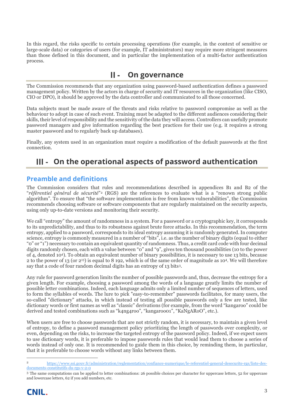In this regard, the risks specific to certain processing operations (for example, in the context of sensitive or large-scale data) or categories of users (for example, IT administrators) may require more stringent measures than those defined in this document, and in particular the implementation of a multi-factor authentication process.

#### **On governance**

The Commission recommends that any organization using password-based authentication defines a password management policy. Written by the actors in charge of security and IT resources in the organization (like CISO, CIO or DPO), it should be approved by the data controller and communicated to all those concerned.

Data subjects must be made aware of the threats and risks relative to password compromise as well as the behaviour to adopt in case of such event. Training must be adapted to the different audiences considering their skills, their level of responsibility and the sensitivity of the data they will access. Controllers can usefully promote password managers and give information regarding the best practices for their use (e.g. it requires a strong master password and to regularly back up databases).

Finally, any system used in an organization must require a modification of the default passwords at the first connection.

#### **On the operational aspects of password authentication**

#### **Preamble and definitions**

The Commission considers that rules and recommendations described in appendices B1 and B2 of the "*référentiel général de sécurité*"[2](#page-2-0) (RGS) are the references to evaluate what is a "renown strong public algorithm". To ensure that "the software implementation is free from known vulnerabilities", the Commission recommends choosing software or software components that are regularly maintained on the security aspects, using only up-to-date versions and monitoring their security.

We call "entropy" the amount of randomness in a system. For a password or a cryptographic key, it corresponds to its unpredictability, and thus to its robustness against brute force attacks. In this recommendation, the term entropy, applied to a password, corresponds to its ideal entropy assuming it is randomly generated. In computer science, entropy is commonly measured in a number of "bits", i.e. as the number of binary digits (equal to either "0" or "1") necessary to contain an equivalent quantity of randomness. Thus, a credit card code with four decimal digits randomly chosen, each with a value between "0" and "9", gives ten thousand possibilities (10 to the power of 4, denoted 104). To obtain an equivalent number of binary possibilities, it is necessary to use 13 bits, because 2 to the power of 13 (or 213) is equal to 8 192, which is of the same order of magnitude as 104. We will therefore say that a code of four random decimal digits has an entropy of 13 bits[3](#page-2-1).

Any rule for password generation limits the number of possible passwords and, thus, decrease the entropy for a given length. For example, choosing a password among the words of a language greatly limits the number of possible letter combinations. Indeed, each language admits only a limited number of sequences of letters, used to form the syllables of words. The lure to pick "easy-to-remember" passwords facilitates, for many users, the so-called "dictionary" attacks, in which instead of testing all possible passwords only a few are tested, like dictionary words or first names as well as "classic" derivations (for example, from the word "kangaroo" could be derived and tested combinations such as "k4ng4roo", "kangaroo01", "KaNgARoO", etc.).

When users are free to choose passwords that are not strictly random, it is necessary, to maintain a given level of entropy, to define a password management policy prioritizing the length of passwords over complexity, or even, depending on the risks, to increase the targeted entropy of the password policy. Indeed, if we expect users to use dictionary words, it is preferable to impose passwords rules that would lead them to choose a series of words instead of only one. It is recommended to guide them in this choice, by reminding them, in particular, that it is preferable to choose words without any links between them.

<span id="page-2-1"></span><sup>3</sup> The same computations can be applied to letter combinations: 26 possible choices per character for uppercase letters, 52 for uppercase and lowercase letters, 62 if you add numbers, etc.



<span id="page-2-0"></span> <sup>2</sup> [https://www.ssi.gouv.fr/administration/reglementation/confiance-numerique/le-referentiel-general-desecurite-rgs/liste-des](https://www.ssi.gouv.fr/administration/reglementation/confiance-numerique/le-referentiel-general-desecurite-rgs/liste-des-documents-constitutifs-du-rgs-v-2-0)[documents-constitutifs-du-rgs-v-2-0](https://www.ssi.gouv.fr/administration/reglementation/confiance-numerique/le-referentiel-general-desecurite-rgs/liste-des-documents-constitutifs-du-rgs-v-2-0)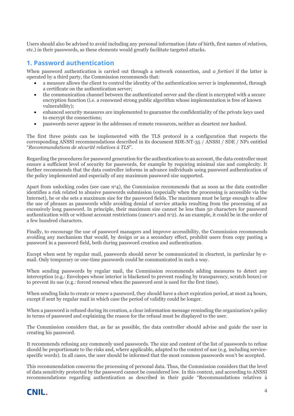Users should also be advised to avoid including any personal information (date of birth, first names of relatives, etc.) in their passwords, as these elements would greatly facilitate targeted attacks.

#### **1. Password authentication**

When password authentication is carried out through a network connection, and *a fortiori* if the latter is operated by a third party, the Commission recommends that:

- a measure allows the client to control the identity of the authentication server is implemented, through a certificate on the authentication server;
- the communication channel between the authenticated server and the client is encrypted with a secure encryption function (i.e. a renowned strong public algorithm whose implementation is free of known vulnerability);
- enhanced security measures are implemented to guarantee the confidentiality of the private keys used to encrypt the connections;
- passwords never appear in the addresses of remote resources, neither as cleartext nor hashed.

The first three points can be implemented with the TLS protocol in a configuration that respects the corresponding ANSSI recommendations described in its document SDE-NT-35 / ANSSI / SDE / NP1 entitled "*Recommandations de sécurité relatives à TLS*".

Regarding the procedures for password generation for the authentication to an account, the data controller must ensure a sufficient level of security for passwords, for example by requiring minimal size and complexity. It further recommends that the data controller informs in advance individuals using password authentication of the policy implemented and especially of any maximum password size supported.

Apart from unlocking codes (see case  $n^{\circ}4$ ), the Commission recommends that as soon as the data controller identifies a risk related to abusive passwords submission (especially when the processing is accessible via the Internet), he or she sets a maximum size for the password fields. The maximum must be large enough to allow the use of phrases as passwords while avoiding denial of service attacks resulting from the processing of an excessively long password. In principle, their maximum size cannot be less than 50 characters for password authentication with or without account restrictions (casen<sup>o</sup>1 and  $n^{\circ}$ ). As an example, it could be in the order of a few hundred characters.

Finally, to encourage the use of password managers and improve accessibility, the Commission recommends avoiding any mechanism that would, by design or as a secondary effect, prohibit users from copy pasting a password in a password field, both during password creation and authentication.

Except when sent by regular mail, passwords should never be communicated in cleartext, in particular by email. Only temporary or one-time passwords could be communicated in such a way.

When sending passwords by regular mail, the Commission recommends adding measures to detect any interception (e.g.: Envelopes whose interior is blackened to prevent reading by transparency, scratch boxes) or to prevent its use (e.g.: forced renewal when the password sent is used for the first time).

When sending links to create or renew a password, they should have a short expiration period, at most 24 hours, except if sent by regular mail in which case the period of validity could be longer.

When a password is refused during its creation, a clear information message reminding the organization's policy in terms of password and explaining the reason for the refusal must be displayed to the user.

The Commission considers that, as far as possible, the data controller should advise and guide the user in creating his password.

It recommends refusing any commonly used passwords. The size and content of the list of passwords to refuse should be proportionate to the risks and, where applicable, adapted to the context of use (e.g. including servicespecific words). In all cases, the user should be informed that the most common passwords won't be accepted.

This recommendation concerns the processing of personal data. Thus, the Commission considers that the level of data sensitivity protected by the password cannot be considered low. In this context, and according to ANSSI recommendations regarding authentication as described in their guide "Recommandations relatives à

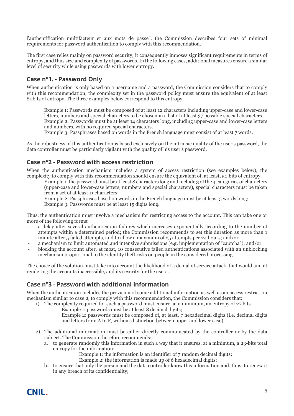l'authentification multifacteur et aux mots de passe", the Commission describes four sets of minimal requirements for password authentication to comply with this recommendation.

The first case relies mainly on password security; it consequently imposes significant requirements in terms of entropy, and thus size and complexity of passwords. In the following cases, additional measures ensure a similar level of security while using passwords with lower entropy.

#### **Case no1. - Password Only**

When authentication is only based on a username and a password, the Commission considers that to comply with this recommendation, the complexity set in the password policy must ensure the equivalent of at least 80bits of entropy. The three examples below correspond to this entropy.

Example 1: Passwords must be composed of at least 12 characters including upper-case and lower-case letters, numbers and special characters to be chosen in a list of at least 37 possible special characters. Example 2: Passwords must be at least 14 characters long, including upper-case and lower-case letters and numbers, with no required special characters.

Example 3: Passphrases based on words in the French language must consist of at least 7 words.

As the robustness of this authentication is based exclusively on the intrinsic quality of the user's password, the data controller must be particularly vigilant with the quality of his user's password.

#### **Case no2 - Password with access restriction**

When the authentication mechanism includes a system of access restriction (see examples below), the complexity to comply with this recommendation should ensure the equivalent of, at least, 50 bits of entropy.

Example 1: the password must be at least 8 characters long and include 3 of the 4 categories of characters (upper-case and lower-case letters, numbers and special characters), special characters must be taken from a set of at least 11 characters;

Example 2: Passphrases based on words in the French language must be at least 5 words long; Example 3: Passwords must be at least 15 digits long.

Thus, the authentication must involve a mechanism for restricting access to the account. This can take one or more of the following forms:

- a delay after several authentication failures which increases exponentially according to the number of attempts within a determined period; the Commission recommends to set this duration as more than 1 minute after 5 failed attempts, and to allow a maximum of 25 attempts per 24 hours; and/or
- a mechanism to limit automated and intensive submissions (e.g. implementation of "captcha"); and/or
- blocking the account after, at most, 10 consecutive failed authentications associated with an unblocking mechanism proportional to the identity theft risks on people in the considered processing.

The choice of the solution must take into account the likelihood of a denial of service attack, that would aim at rendering the accounts inaccessible, and its severity for the users.

#### **Case no3 - Password with additional information**

When the authentication includes the provision of some additional information as well as an access restriction mechanism similar to case 2, to comply with this recommendation, the Commission considers that:

- 1) The complexity required for such a password must ensure, at a minimum, an entropy of 27 bits.
	- Example 1: passwords must be at least 8 decimal digits;

Example 2: passwords must be composed of, at least, 7 hexadecimal digits (i.e. decimal digits and letters from A to F, without distinction between upper and lower case).

- 2) The additional information must be either directly communicated by the controller or by the data subject. The Commission therefore recommends:
	- a. to generate randomly this information in such a way that it ensures, at a minimum, a 23-bits total entropy for the information:
		- Example 1: the information is an identifier of 7 random decimal digits;
		- Example 2: the information is made up of 6 hexadecimal digits;
	- b. to ensure that only the person and the data controller know this information and, thus, to renew it in any breach of its confidentiality;

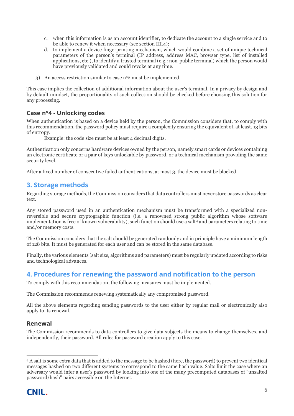- c. when this information is as an account identifier, to dedicate the account to a single service and to be able to renew it when necessary (see section III.4);
- d. to implement a device fingerprinting mechanism, which would combine a set of unique technical parameters of the person's terminal (IP address, address MAC, browser type, list of installed applications, etc.), to identify a trusted terminal (e.g.: non-public terminal) which the person would have previously validated and could revoke at any time.
- 3) An access restriction similar to case  $n^{\circ}2$  must be implemented.

This case implies the collection of additional information about the user's terminal. In a privacy by design and by default mindset, the proportionality of such collection should be checked before choosing this solution for any processing.

#### **Case n°4 - Unlocking codes**

When authentication is based on a device held by the person, the Commission considers that, to comply with this recommendation, the password policy must require a complexity ensuring the equivalent of, at least, 13 bits of entropy.

Example: the code size must be at least 4 decimal digits.

Authentication only concerns hardware devices owned by the person, namely smart cards or devices containing an electronic certificate or a pair of keys unlockable by password, or a technical mechanism providing the same security level.

After a fixed number of consecutive failed authentications, at most 3, the device must be blocked.

#### **3. Storage methods**

Regarding storage methods, the Commission considers that data controllers must never store passwords as clear text.

Any stored password used in an authentication mechanism must be transformed with a specialized nonreversible and secure cryptographic function (i.e. a renowned strong public algorithm whose software implementation is free of known vulnerability), such function should use a salt<sup>[4](#page-5-0)</sup> and parameters relating to time and/or memory costs.

The Commission considers that the salt should be generated randomly and in principle have a minimum length of 128 bits. It must be generated for each user and can be stored in the same database.

Finally, the various elements (salt size, algorithms and parameters) must be regularly updated according to risks and technological advances.

#### **4. Procedures for renewing the password and notification to the person**

To comply with this recommendation, the following measures must be implemented.

The Commission recommends renewing systematically any compromised password.

All the above elements regarding sending passwords to the user either by regular mail or electronically also apply to its renewal.

#### **Renewal**

The Commission recommends to data controllers to give data subjects the means to change themselves, and independently, their password. All rules for password creation apply to this case.

<span id="page-5-0"></span> <sup>4</sup> A salt is some extra data that is added to the message to be hashed (here, the password) to prevent two identical messages hashed on two different systems to correspond to the same hash value. Salts limit the case where an adversary would infer a user's password by looking into one of the many precomputed databases of "unsalted password/hash" pairs accessible on the Internet.